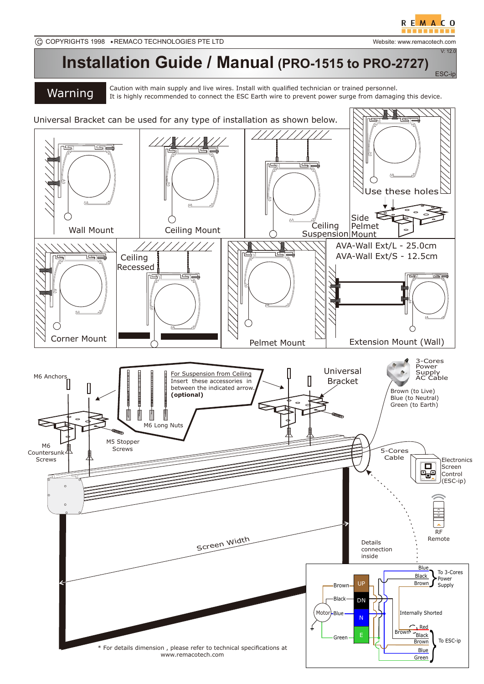ESC-ip

 $V: 12.0$ 



## **Installation Guide / Manual (PRO-1515 to PRO-2727)**

Caution with main supply and live wires. Install with qualified technician or trained personnel.<br> **Warning** It is highly recommended to connect the ESC Earth wire to prevent power surge from damaging this device.

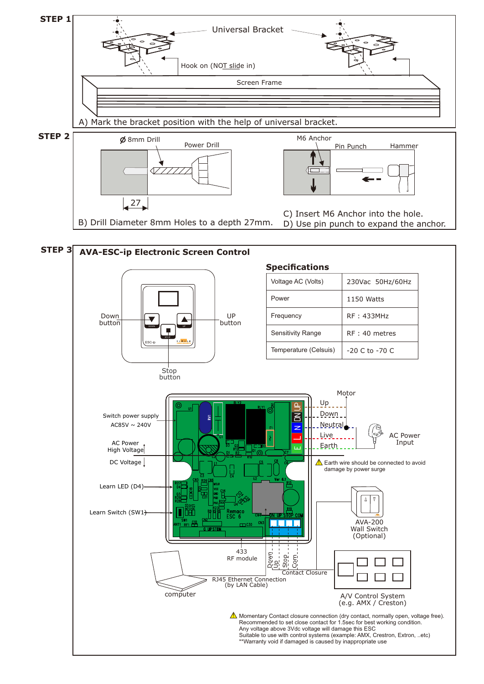